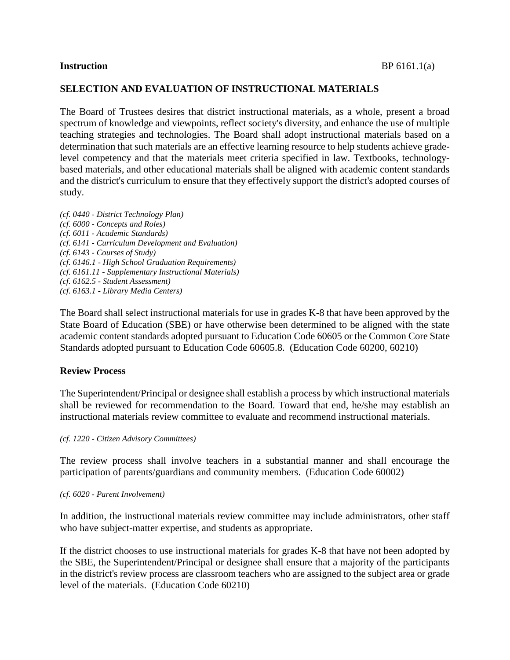## **SELECTION AND EVALUATION OF INSTRUCTIONAL MATERIALS**

The Board of Trustees desires that district instructional materials, as a whole, present a broad spectrum of knowledge and viewpoints, reflect society's diversity, and enhance the use of multiple teaching strategies and technologies. The Board shall adopt instructional materials based on a determination that such materials are an effective learning resource to help students achieve gradelevel competency and that the materials meet criteria specified in law. Textbooks, technologybased materials, and other educational materials shall be aligned with academic content standards and the district's curriculum to ensure that they effectively support the district's adopted courses of study.

*(cf. 0440 - District Technology Plan) (cf. 6000 - Concepts and Roles) (cf. 6011 - Academic Standards) (cf. 6141 - Curriculum Development and Evaluation) (cf. 6143 - Courses of Study) (cf. 6146.1 - High School Graduation Requirements) (cf. 6161.11 - Supplementary Instructional Materials) (cf. 6162.5 - Student Assessment) (cf. 6163.1 - Library Media Centers)*

The Board shall select instructional materials for use in grades K-8 that have been approved by the State Board of Education (SBE) or have otherwise been determined to be aligned with the state academic content standards adopted pursuant to Education Code 60605 or the Common Core State Standards adopted pursuant to Education Code 60605.8. (Education Code 60200, 60210)

## **Review Process**

The Superintendent/Principal or designee shall establish a process by which instructional materials shall be reviewed for recommendation to the Board. Toward that end, he/she may establish an instructional materials review committee to evaluate and recommend instructional materials.

*(cf. 1220 - Citizen Advisory Committees)*

The review process shall involve teachers in a substantial manner and shall encourage the participation of parents/guardians and community members. (Education Code 60002)

#### *(cf. 6020 - Parent Involvement)*

In addition, the instructional materials review committee may include administrators, other staff who have subject-matter expertise, and students as appropriate.

If the district chooses to use instructional materials for grades K-8 that have not been adopted by the SBE, the Superintendent/Principal or designee shall ensure that a majority of the participants in the district's review process are classroom teachers who are assigned to the subject area or grade level of the materials. (Education Code 60210)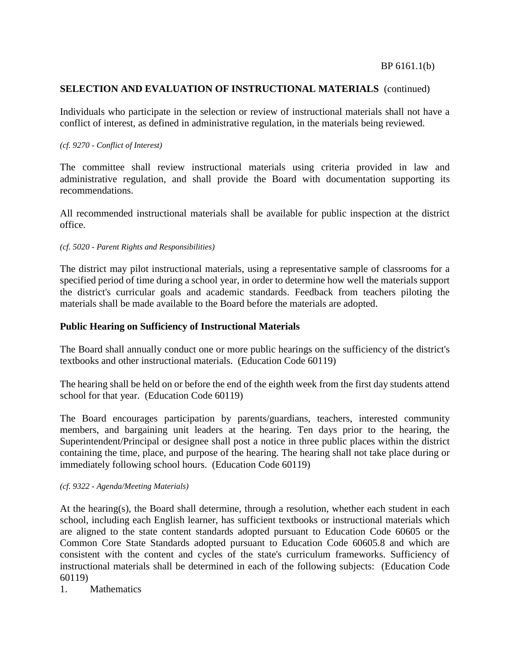Individuals who participate in the selection or review of instructional materials shall not have a conflict of interest, as defined in administrative regulation, in the materials being reviewed.

## *(cf. 9270 - Conflict of Interest)*

The committee shall review instructional materials using criteria provided in law and administrative regulation, and shall provide the Board with documentation supporting its recommendations.

All recommended instructional materials shall be available for public inspection at the district office.

## *(cf. 5020 - Parent Rights and Responsibilities)*

The district may pilot instructional materials, using a representative sample of classrooms for a specified period of time during a school year, in order to determine how well the materials support the district's curricular goals and academic standards. Feedback from teachers piloting the materials shall be made available to the Board before the materials are adopted.

## **Public Hearing on Sufficiency of Instructional Materials**

The Board shall annually conduct one or more public hearings on the sufficiency of the district's textbooks and other instructional materials. (Education Code 60119)

The hearing shall be held on or before the end of the eighth week from the first day students attend school for that year. (Education Code 60119)

The Board encourages participation by parents/guardians, teachers, interested community members, and bargaining unit leaders at the hearing. Ten days prior to the hearing, the Superintendent/Principal or designee shall post a notice in three public places within the district containing the time, place, and purpose of the hearing. The hearing shall not take place during or immediately following school hours. (Education Code 60119)

## *(cf. 9322 - Agenda/Meeting Materials)*

At the hearing(s), the Board shall determine, through a resolution, whether each student in each school, including each English learner, has sufficient textbooks or instructional materials which are aligned to the state content standards adopted pursuant to Education Code 60605 or the Common Core State Standards adopted pursuant to Education Code 60605.8 and which are consistent with the content and cycles of the state's curriculum frameworks. Sufficiency of instructional materials shall be determined in each of the following subjects: (Education Code 60119)

1. Mathematics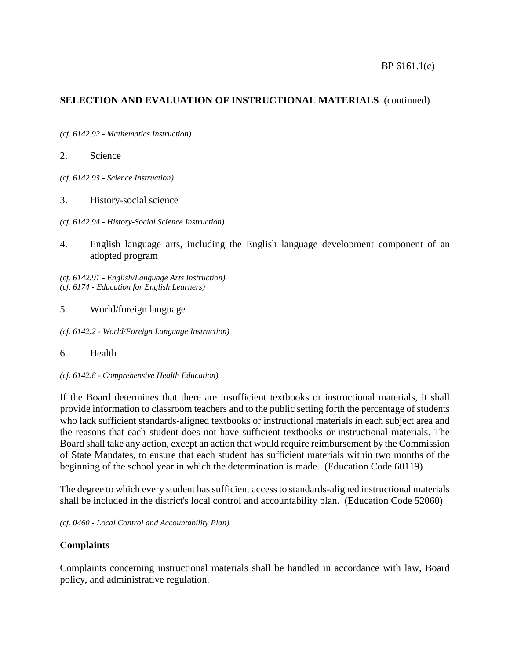*(cf. 6142.92 - Mathematics Instruction)*

2. Science

*(cf. 6142.93 - Science Instruction)*

3. History-social science

*(cf. 6142.94 - History-Social Science Instruction)*

4. English language arts, including the English language development component of an adopted program

*(cf. 6142.91 - English/Language Arts Instruction) (cf. 6174 - Education for English Learners)*

5. World/foreign language

*(cf. 6142.2 - World/Foreign Language Instruction)*

## 6. Health

*(cf. 6142.8 - Comprehensive Health Education)*

If the Board determines that there are insufficient textbooks or instructional materials, it shall provide information to classroom teachers and to the public setting forth the percentage of students who lack sufficient standards-aligned textbooks or instructional materials in each subject area and the reasons that each student does not have sufficient textbooks or instructional materials. The Board shall take any action, except an action that would require reimbursement by the Commission of State Mandates, to ensure that each student has sufficient materials within two months of the beginning of the school year in which the determination is made. (Education Code 60119)

The degree to which every student has sufficient access to standards-aligned instructional materials shall be included in the district's local control and accountability plan. (Education Code 52060)

*(cf. 0460 - Local Control and Accountability Plan)*

## **Complaints**

Complaints concerning instructional materials shall be handled in accordance with law, Board policy, and administrative regulation.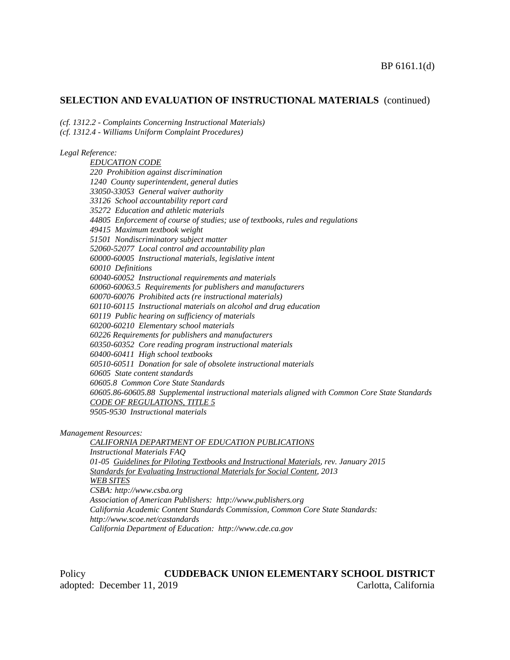*(cf. 1312.2 - Complaints Concerning Instructional Materials)*

*(cf. 1312.4 - Williams Uniform Complaint Procedures)*

#### *Legal Reference:*

*EDUCATION CODE 220 Prohibition against discrimination 1240 County superintendent, general duties 33050-33053 General waiver authority 33126 School accountability report card 35272 Education and athletic materials 44805 Enforcement of course of studies; use of textbooks, rules and regulations 49415 Maximum textbook weight 51501 Nondiscriminatory subject matter 52060-52077 Local control and accountability plan 60000-60005 Instructional materials, legislative intent 60010 Definitions 60040-60052 Instructional requirements and materials 60060-60063.5 Requirements for publishers and manufacturers 60070-60076 Prohibited acts (re instructional materials) 60110-60115 Instructional materials on alcohol and drug education 60119 Public hearing on sufficiency of materials 60200-60210 Elementary school materials 60226 Requirements for publishers and manufacturers 60350-60352 Core reading program instructional materials 60400-60411 High school textbooks 60510-60511 Donation for sale of obsolete instructional materials 60605 State content standards 60605.8 Common Core State Standards 60605.86-60605.88 Supplemental instructional materials aligned with Common Core State Standards CODE OF REGULATIONS, TITLE 5 9505-9530 Instructional materials*

*Management Resources:*

*CALIFORNIA DEPARTMENT OF EDUCATION PUBLICATIONS Instructional Materials FAQ 01-05 Guidelines for Piloting Textbooks and Instructional Materials, rev. January 2015 Standards for Evaluating Instructional Materials for Social Content, 2013 WEB SITES CSBA: http://www.csba.org Association of American Publishers: http://www.publishers.org California Academic Content Standards Commission, Common Core State Standards: http://www.scoe.net/castandards California Department of Education: http://www.cde.ca.gov*

Policy **CUDDEBACK UNION ELEMENTARY SCHOOL DISTRICT** adopted: December 11, 2019 Carlotta, California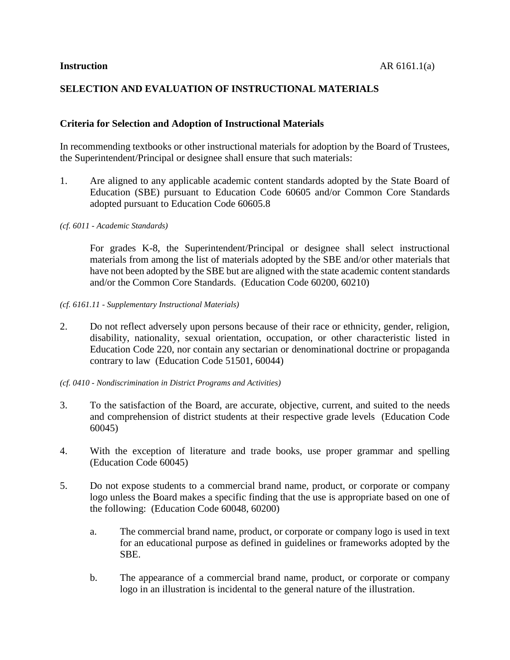# **SELECTION AND EVALUATION OF INSTRUCTIONAL MATERIALS**

## **Criteria for Selection and Adoption of Instructional Materials**

In recommending textbooks or other instructional materials for adoption by the Board of Trustees, the Superintendent/Principal or designee shall ensure that such materials:

1. Are aligned to any applicable academic content standards adopted by the State Board of Education (SBE) pursuant to Education Code 60605 and/or Common Core Standards adopted pursuant to Education Code 60605.8

*(cf. 6011 - Academic Standards)*

For grades K-8, the Superintendent/Principal or designee shall select instructional materials from among the list of materials adopted by the SBE and/or other materials that have not been adopted by the SBE but are aligned with the state academic content standards and/or the Common Core Standards. (Education Code 60200, 60210)

*(cf. 6161.11 - Supplementary Instructional Materials)*

2. Do not reflect adversely upon persons because of their race or ethnicity, gender, religion, disability, nationality, sexual orientation, occupation, or other characteristic listed in Education Code 220, nor contain any sectarian or denominational doctrine or propaganda contrary to law (Education Code 51501, 60044)

*(cf. 0410 - Nondiscrimination in District Programs and Activities)*

- 3. To the satisfaction of the Board, are accurate, objective, current, and suited to the needs and comprehension of district students at their respective grade levels (Education Code 60045)
- 4. With the exception of literature and trade books, use proper grammar and spelling (Education Code 60045)
- 5. Do not expose students to a commercial brand name, product, or corporate or company logo unless the Board makes a specific finding that the use is appropriate based on one of the following: (Education Code 60048, 60200)
	- a. The commercial brand name, product, or corporate or company logo is used in text for an educational purpose as defined in guidelines or frameworks adopted by the SBE.
	- b. The appearance of a commercial brand name, product, or corporate or company logo in an illustration is incidental to the general nature of the illustration.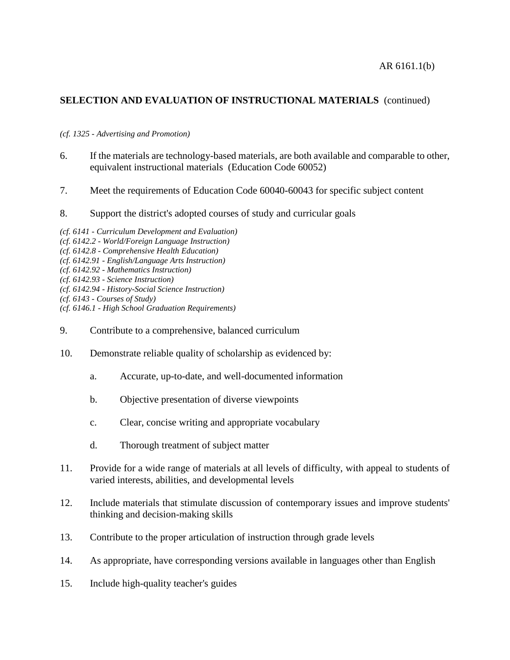## *(cf. 1325 - Advertising and Promotion)*

- 6. If the materials are technology-based materials, are both available and comparable to other, equivalent instructional materials (Education Code 60052)
- 7. Meet the requirements of Education Code 60040-60043 for specific subject content
- 8. Support the district's adopted courses of study and curricular goals
- *(cf. 6141 - Curriculum Development and Evaluation)*
- *(cf. 6142.2 - World/Foreign Language Instruction)*
- *(cf. 6142.8 - Comprehensive Health Education)*
- *(cf. 6142.91 - English/Language Arts Instruction)*
- *(cf. 6142.92 - Mathematics Instruction)*
- *(cf. 6142.93 - Science Instruction)*
- *(cf. 6142.94 - History-Social Science Instruction)*
- *(cf. 6143 - Courses of Study)*
- *(cf. 6146.1 - High School Graduation Requirements)*
- 9. Contribute to a comprehensive, balanced curriculum
- 10. Demonstrate reliable quality of scholarship as evidenced by:
	- a. Accurate, up-to-date, and well-documented information
	- b. Objective presentation of diverse viewpoints
	- c. Clear, concise writing and appropriate vocabulary
	- d. Thorough treatment of subject matter
- 11. Provide for a wide range of materials at all levels of difficulty, with appeal to students of varied interests, abilities, and developmental levels
- 12. Include materials that stimulate discussion of contemporary issues and improve students' thinking and decision-making skills
- 13. Contribute to the proper articulation of instruction through grade levels
- 14. As appropriate, have corresponding versions available in languages other than English
- 15. Include high-quality teacher's guides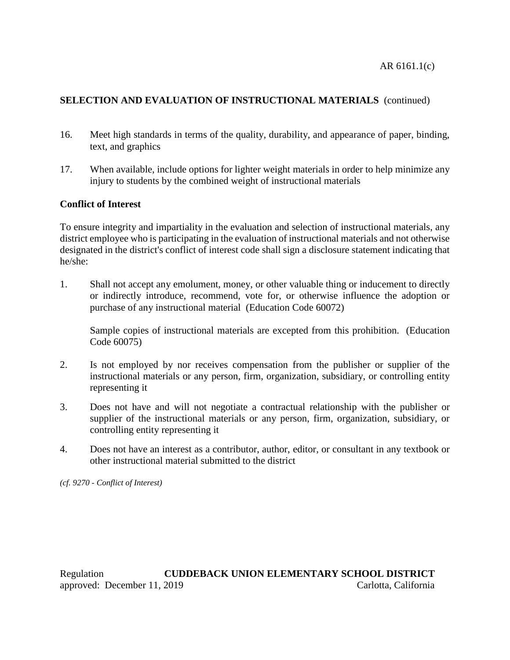AR 6161.1(c)

# **SELECTION AND EVALUATION OF INSTRUCTIONAL MATERIALS** (continued)

- 16. Meet high standards in terms of the quality, durability, and appearance of paper, binding, text, and graphics
- 17. When available, include options for lighter weight materials in order to help minimize any injury to students by the combined weight of instructional materials

# **Conflict of Interest**

To ensure integrity and impartiality in the evaluation and selection of instructional materials, any district employee who is participating in the evaluation of instructional materials and not otherwise designated in the district's conflict of interest code shall sign a disclosure statement indicating that he/she:

1. Shall not accept any emolument, money, or other valuable thing or inducement to directly or indirectly introduce, recommend, vote for, or otherwise influence the adoption or purchase of any instructional material (Education Code 60072)

Sample copies of instructional materials are excepted from this prohibition. (Education Code 60075)

- 2. Is not employed by nor receives compensation from the publisher or supplier of the instructional materials or any person, firm, organization, subsidiary, or controlling entity representing it
- 3. Does not have and will not negotiate a contractual relationship with the publisher or supplier of the instructional materials or any person, firm, organization, subsidiary, or controlling entity representing it
- 4. Does not have an interest as a contributor, author, editor, or consultant in any textbook or other instructional material submitted to the district

*(cf. 9270 - Conflict of Interest)*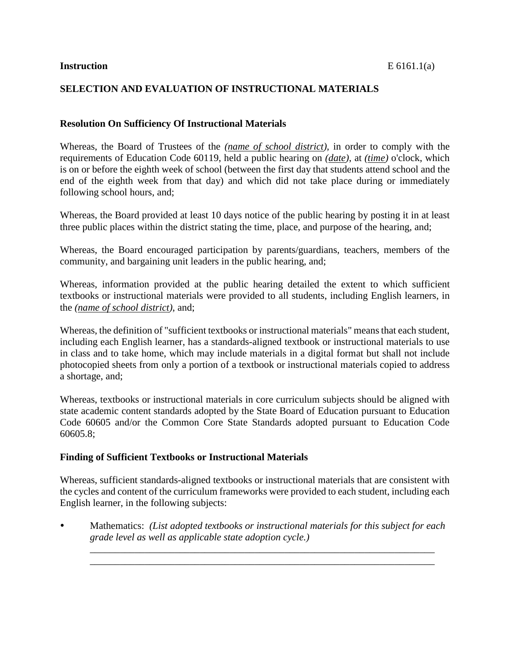# **SELECTION AND EVALUATION OF INSTRUCTIONAL MATERIALS**

## **Resolution On Sufficiency Of Instructional Materials**

Whereas, the Board of Trustees of the *(name of school district)*, in order to comply with the requirements of Education Code 60119, held a public hearing on *(date)*, at *(time)* o'clock, which is on or before the eighth week of school (between the first day that students attend school and the end of the eighth week from that day) and which did not take place during or immediately following school hours, and;

Whereas, the Board provided at least 10 days notice of the public hearing by posting it in at least three public places within the district stating the time, place, and purpose of the hearing, and;

Whereas, the Board encouraged participation by parents/guardians, teachers, members of the community, and bargaining unit leaders in the public hearing, and;

Whereas, information provided at the public hearing detailed the extent to which sufficient textbooks or instructional materials were provided to all students, including English learners, in the *(name of school district)*, and;

Whereas, the definition of "sufficient textbooks or instructional materials" meansthat each student, including each English learner, has a standards-aligned textbook or instructional materials to use in class and to take home, which may include materials in a digital format but shall not include photocopied sheets from only a portion of a textbook or instructional materials copied to address a shortage, and;

Whereas, textbooks or instructional materials in core curriculum subjects should be aligned with state academic content standards adopted by the State Board of Education pursuant to Education Code 60605 and/or the Common Core State Standards adopted pursuant to Education Code 60605.8;

## **Finding of Sufficient Textbooks or Instructional Materials**

Whereas, sufficient standards-aligned textbooks or instructional materials that are consistent with the cycles and content of the curriculum frameworks were provided to each student, including each English learner, in the following subjects:

 Mathematics: *(List adopted textbooks or instructional materials for this subject for each grade level as well as applicable state adoption cycle.)*

\_\_\_\_\_\_\_\_\_\_\_\_\_\_\_\_\_\_\_\_\_\_\_\_\_\_\_\_\_\_\_\_\_\_\_\_\_\_\_\_\_\_\_\_\_\_\_\_\_\_\_\_\_\_\_\_\_\_\_\_\_\_\_\_\_\_\_\_\_ \_\_\_\_\_\_\_\_\_\_\_\_\_\_\_\_\_\_\_\_\_\_\_\_\_\_\_\_\_\_\_\_\_\_\_\_\_\_\_\_\_\_\_\_\_\_\_\_\_\_\_\_\_\_\_\_\_\_\_\_\_\_\_\_\_\_\_\_\_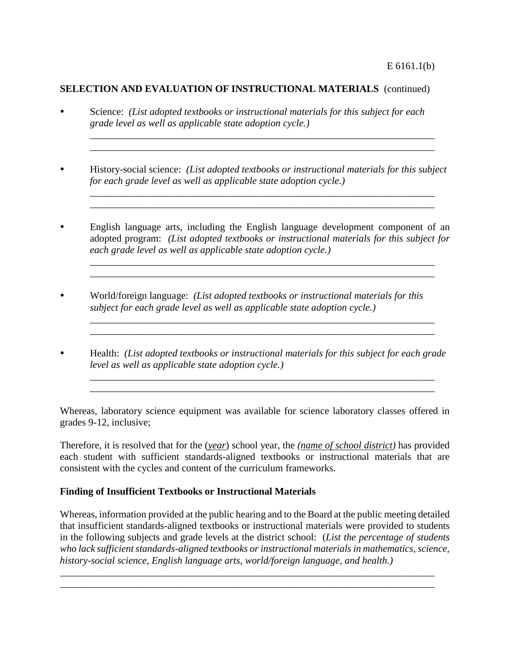- Science: *(List adopted textbooks or instructional materials for this subject for each grade level as well as applicable state adoption cycle.)*
- History-social science: *(List adopted textbooks or instructional materials for this subject for each grade level as well as applicable state adoption cycle.)*

\_\_\_\_\_\_\_\_\_\_\_\_\_\_\_\_\_\_\_\_\_\_\_\_\_\_\_\_\_\_\_\_\_\_\_\_\_\_\_\_\_\_\_\_\_\_\_\_\_\_\_\_\_\_\_\_\_\_\_\_\_\_\_\_\_\_\_\_\_ \_\_\_\_\_\_\_\_\_\_\_\_\_\_\_\_\_\_\_\_\_\_\_\_\_\_\_\_\_\_\_\_\_\_\_\_\_\_\_\_\_\_\_\_\_\_\_\_\_\_\_\_\_\_\_\_\_\_\_\_\_\_\_\_\_\_\_\_\_

\_\_\_\_\_\_\_\_\_\_\_\_\_\_\_\_\_\_\_\_\_\_\_\_\_\_\_\_\_\_\_\_\_\_\_\_\_\_\_\_\_\_\_\_\_\_\_\_\_\_\_\_\_\_\_\_\_\_\_\_\_\_\_\_\_\_\_\_\_ \_\_\_\_\_\_\_\_\_\_\_\_\_\_\_\_\_\_\_\_\_\_\_\_\_\_\_\_\_\_\_\_\_\_\_\_\_\_\_\_\_\_\_\_\_\_\_\_\_\_\_\_\_\_\_\_\_\_\_\_\_\_\_\_\_\_\_\_\_

 English language arts, including the English language development component of an adopted program: *(List adopted textbooks or instructional materials for this subject for each grade level as well as applicable state adoption cycle.)*

\_\_\_\_\_\_\_\_\_\_\_\_\_\_\_\_\_\_\_\_\_\_\_\_\_\_\_\_\_\_\_\_\_\_\_\_\_\_\_\_\_\_\_\_\_\_\_\_\_\_\_\_\_\_\_\_\_\_\_\_\_\_\_\_\_\_\_\_\_ \_\_\_\_\_\_\_\_\_\_\_\_\_\_\_\_\_\_\_\_\_\_\_\_\_\_\_\_\_\_\_\_\_\_\_\_\_\_\_\_\_\_\_\_\_\_\_\_\_\_\_\_\_\_\_\_\_\_\_\_\_\_\_\_\_\_\_\_\_

- World/foreign language: *(List adopted textbooks or instructional materials for this subject for each grade level as well as applicable state adoption cycle.)*
- Health: *(List adopted textbooks or instructional materials for this subject for each grade level as well as applicable state adoption cycle.)*

\_\_\_\_\_\_\_\_\_\_\_\_\_\_\_\_\_\_\_\_\_\_\_\_\_\_\_\_\_\_\_\_\_\_\_\_\_\_\_\_\_\_\_\_\_\_\_\_\_\_\_\_\_\_\_\_\_\_\_\_\_\_\_\_\_\_\_\_\_

\_\_\_\_\_\_\_\_\_\_\_\_\_\_\_\_\_\_\_\_\_\_\_\_\_\_\_\_\_\_\_\_\_\_\_\_\_\_\_\_\_\_\_\_\_\_\_\_\_\_\_\_\_\_\_\_\_\_\_\_\_\_\_\_\_\_\_\_\_

 $\mathcal{L}_\mathcal{L} = \{ \mathcal{L}_\mathcal{L} = \{ \mathcal{L}_\mathcal{L} = \{ \mathcal{L}_\mathcal{L} = \{ \mathcal{L}_\mathcal{L} = \{ \mathcal{L}_\mathcal{L} = \{ \mathcal{L}_\mathcal{L} = \{ \mathcal{L}_\mathcal{L} = \{ \mathcal{L}_\mathcal{L} = \{ \mathcal{L}_\mathcal{L} = \{ \mathcal{L}_\mathcal{L} = \{ \mathcal{L}_\mathcal{L} = \{ \mathcal{L}_\mathcal{L} = \{ \mathcal{L}_\mathcal{L} = \{ \mathcal{L}_\mathcal{$ \_\_\_\_\_\_\_\_\_\_\_\_\_\_\_\_\_\_\_\_\_\_\_\_\_\_\_\_\_\_\_\_\_\_\_\_\_\_\_\_\_\_\_\_\_\_\_\_\_\_\_\_\_\_\_\_\_\_\_\_\_\_\_\_\_\_\_\_\_

Whereas, laboratory science equipment was available for science laboratory classes offered in grades 9-12, inclusive;

Therefore, it is resolved that for the (*year*) school year, the *(name of school district)* has provided each student with sufficient standards-aligned textbooks or instructional materials that are consistent with the cycles and content of the curriculum frameworks.

## **Finding of Insufficient Textbooks or Instructional Materials**

Whereas, information provided at the public hearing and to the Board at the public meeting detailed that insufficient standards-aligned textbooks or instructional materials were provided to students in the following subjects and grade levels at the district school: (*List the percentage of students* who lack sufficient standards-aligned textbooks or instructional materials in mathematics, science, *history-social science, English language arts, world/foreign language, and health.)*

\_\_\_\_\_\_\_\_\_\_\_\_\_\_\_\_\_\_\_\_\_\_\_\_\_\_\_\_\_\_\_\_\_\_\_\_\_\_\_\_\_\_\_\_\_\_\_\_\_\_\_\_\_\_\_\_\_\_\_\_\_\_\_\_\_\_\_\_\_\_\_\_\_\_\_ \_\_\_\_\_\_\_\_\_\_\_\_\_\_\_\_\_\_\_\_\_\_\_\_\_\_\_\_\_\_\_\_\_\_\_\_\_\_\_\_\_\_\_\_\_\_\_\_\_\_\_\_\_\_\_\_\_\_\_\_\_\_\_\_\_\_\_\_\_\_\_\_\_\_\_